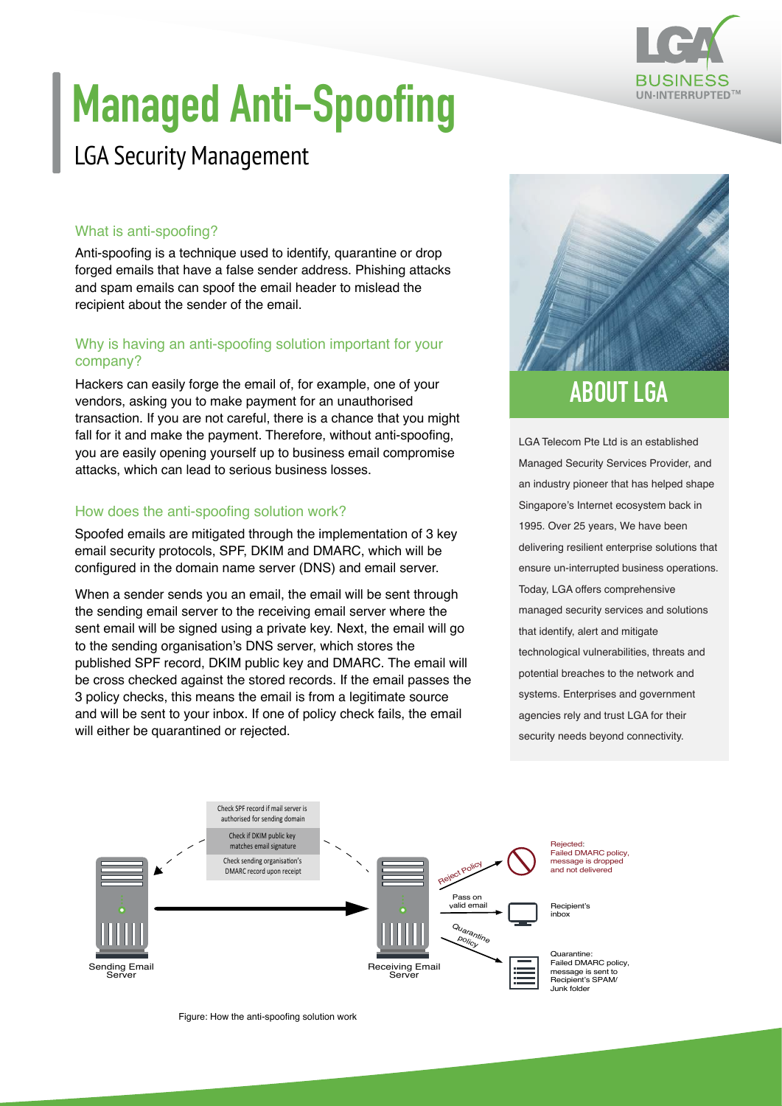

# **Managed Anti-Spoofing**

### LGA Security Management

#### What is anti-spoofing?

Anti-spoofing is a technique used to identify, quarantine or drop forged emails that have a false sender address. Phishing attacks and spam emails can spoof the email header to mislead the recipient about the sender of the email.

#### Why is having an anti-spoofing solution important for your company?

Hackers can easily forge the email of, for example, one of your vendors, asking you to make payment for an unauthorised transaction. If you are not careful, there is a chance that you might fall for it and make the payment. Therefore, without anti-spoofing, you are easily opening yourself up to business email compromise attacks, which can lead to serious business losses.

#### How does the anti-spoofing solution work?

Spoofed emails are mitigated through the implementation of 3 key email security protocols, SPF, DKIM and DMARC, which will be configured in the domain name server (DNS) and email server.

When a sender sends you an email, the email will be sent through the sending email server to the receiving email server where the sent email will be signed using a private key. Next, the email will go to the sending organisation's DNS server, which stores the published SPF record, DKIM public key and DMARC. The email will be cross checked against the stored records. If the email passes the 3 policy checks, this means the email is from a legitimate source and will be sent to your inbox. If one of policy check fails, the email will either be quarantined or rejected.



LGA Telecom Pte Ltd is an established Managed Security Services Provider, and an industry pioneer that has helped shape Singapore's Internet ecosystem back in 1995. Over 25 years, We have been delivering resilient enterprise solutions that ensure un-interrupted business operations. Today, LGA offers comprehensive managed security services and solutions that identify, alert and mitigate technological vulnerabilities, threats and potential breaches to the network and systems. Enterprises and government agencies rely and trust LGA for their security needs beyond connectivity.



Figure: How the anti-spoofing solution work